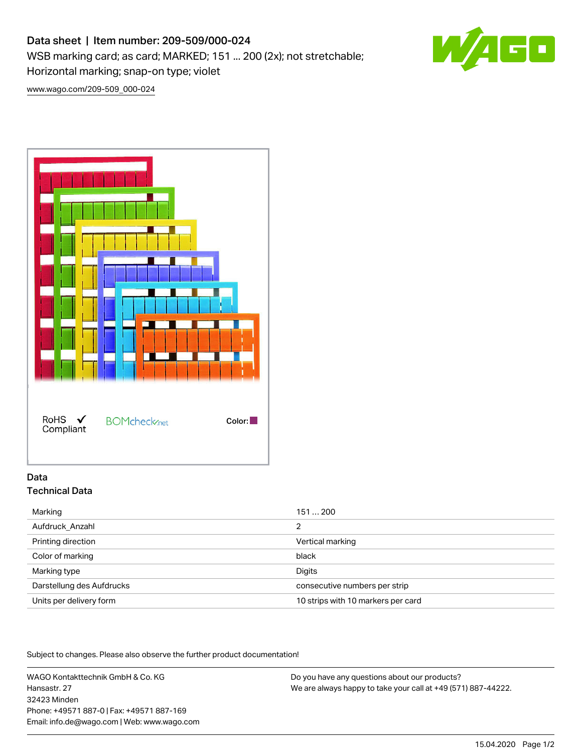# Data sheet | Item number: 209-509/000-024

WSB marking card; as card; MARKED; 151 ... 200 (2x); not stretchable; Horizontal marking; snap-on type; violet

50

[www.wago.com/209-509\\_000-024](http://www.wago.com/209-509_000-024)



## Data Technical Data

| Aufdruck_Anzahl<br>2                                          |
|---------------------------------------------------------------|
| Printing direction<br>Vertical marking                        |
| Color of marking<br>black                                     |
| Marking type<br>Digits                                        |
| Darstellung des Aufdrucks<br>consecutive numbers per strip    |
| 10 strips with 10 markers per card<br>Units per delivery form |

Subject to changes. Please also observe the further product documentation!

WAGO Kontakttechnik GmbH & Co. KG Hansastr. 27 32423 Minden Phone: +49571 887-0 | Fax: +49571 887-169 Email: info.de@wago.com | Web: www.wago.com

Do you have any questions about our products? We are always happy to take your call at +49 (571) 887-44222.